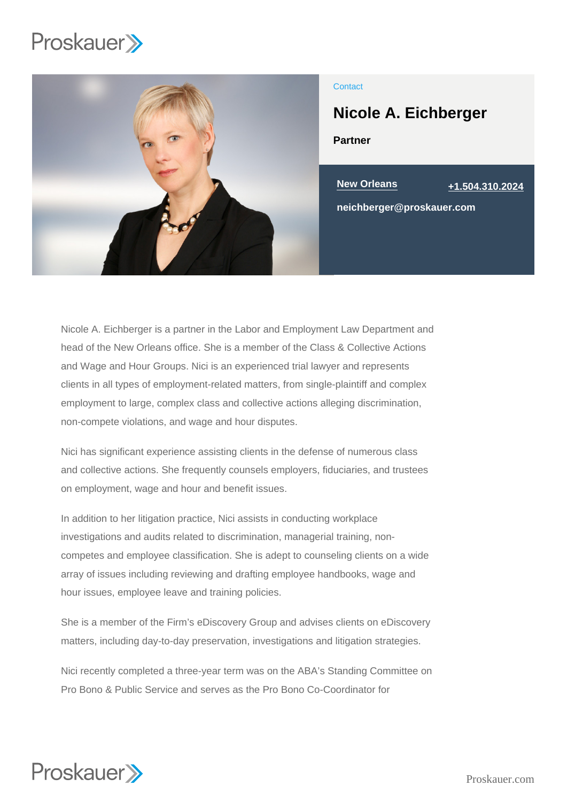

# **Contact**

Partner Nicole A. Eichberger

 $\overline{\text{New Orleans}}$  [+1.504.310.2024](tel:+1.504.310.2024)

neichberger@proskauer.com

Nicole A. Eichberger is a partner in the Labor and Employment Law Department and head of the New Orleans office. She is a member of the Class & Collective Actions and Wage and Hour Groups. Nici is an experienced trial lawyer and represents clients in all types of employment-related matters, from single-plaintiff and complex employment to large, complex class and collective actions alleging discrimination, non-compete violations, and wage and hour disputes.

Nici has significant experience assisting clients in the defense of numerous class and collective actions. She frequently counsels employers, fiduciaries, and trustees on employment, wage and hour and benefit issues.

In addition to her litigation practice, Nici assists in conducting workplace investigations and audits related to discrimination, managerial training, noncompetes and employee classification. She is adept to counseling clients on a wide array of issues including reviewing and drafting employee handbooks, wage and hour issues, employee leave and training policies.

She is a member of the Firm's eDiscovery Group and advises clients on eDiscovery matters, including day-to-day preservation, investigations and litigation strategies.

Nici recently completed a three-year term was on the ABA's Standing Committee on Pro Bono & Public Service and serves as the Pro Bono Co-Coordinator for

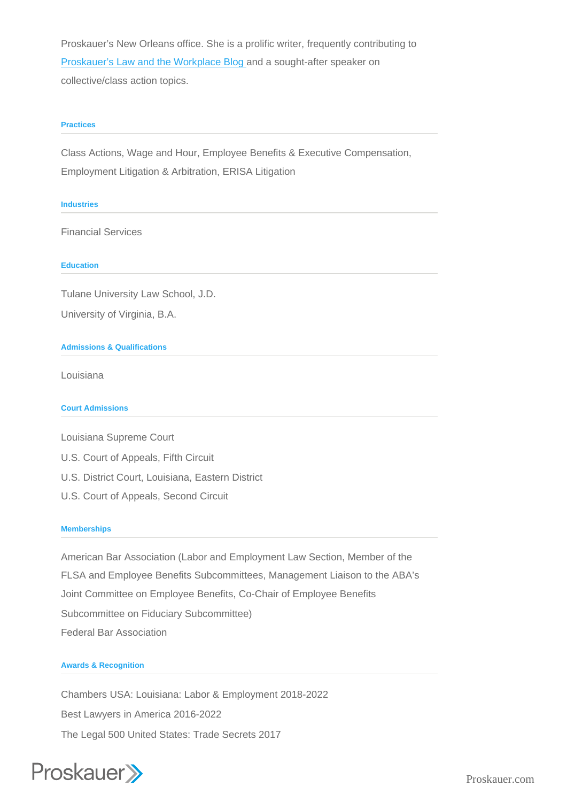Proskauer's New Orleans office. She is a prolific writer, frequently contributing to [Proskauer's Law and the Workplace Blog a](http://www.lawandtheworkplace.com/)nd a sought-after speaker on collective/class action topics.

### **Practices**

Class Actions, Wage and Hour, Employee Benefits & Executive Compensation, Employment Litigation & Arbitration, ERISA Litigation

### Industries

Financial Services

**Education** 

Tulane University Law School, J.D. University of Virginia, B.A.

## Admissions & Qualifications

Louisiana

Court Admissions

Louisiana Supreme Court

- U.S. Court of Appeals, Fifth Circuit
- U.S. District Court, Louisiana, Eastern District
- U.S. Court of Appeals, Second Circuit

#### **Memberships**

American Bar Association (Labor and Employment Law Section, Member of the FLSA and Employee Benefits Subcommittees, Management Liaison to the ABA's Joint Committee on Employee Benefits, Co-Chair of Employee Benefits Subcommittee on Fiduciary Subcommittee) Federal Bar Association

## Awards & Recognition

Chambers USA: Louisiana: Labor & Employment 2018-2022 Best Lawyers in America 2016-2022 The Legal 500 United States: Trade Secrets 2017